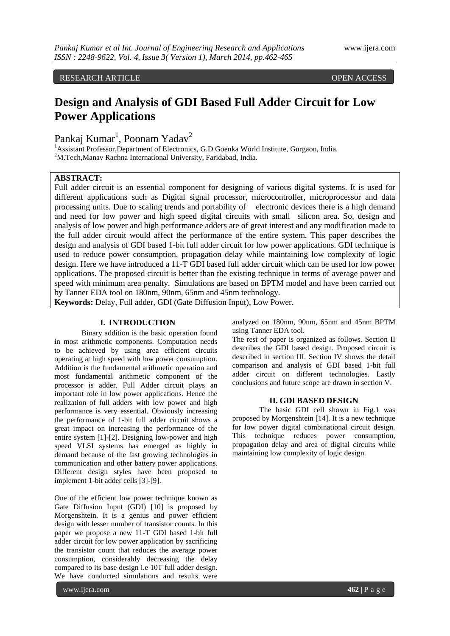RESEARCH ARTICLE OPEN ACCESS

# **Design and Analysis of GDI Based Full Adder Circuit for Low Power Applications**

Pankaj Kumar<sup>1</sup>, Poonam Yadav<sup>2</sup>

<sup>1</sup>Assistant Professor,Department of Electronics, G.D Goenka World Institute, Gurgaon, India. <sup>2</sup>M.Tech, Manav Rachna International University, Faridabad, India.

# **ABSTRACT:**

Full adder circuit is an essential component for designing of various digital systems. It is used for different applications such as Digital signal processor, microcontroller, microprocessor and data processing units. Due to scaling trends and portability of electronic devices there is a high demand and need for low power and high speed digital circuits with small silicon area. So, design and analysis of low power and high performance adders are of great interest and any modification made to the full adder circuit would affect the performance of the entire system. This paper describes the design and analysis of GDI based 1-bit full adder circuit for low power applications. GDI technique is used to reduce power consumption, propagation delay while maintaining low complexity of logic design. Here we have introduced a 11-T GDI based full adder circuit which can be used for low power applications. The proposed circuit is better than the existing technique in terms of average power and speed with minimum area penalty. Simulations are based on BPTM model and have been carried out by Tanner EDA tool on 180nm, 90nm, 65nm and 45nm technology.

**Keywords:** Delay, Full adder, GDI (Gate Diffusion Input), Low Power.

### **I. INTRODUCTION**

Binary addition is the basic operation found in most arithmetic components. Computation needs to be achieved by using area efficient circuits operating at high speed with low power consumption. Addition is the fundamental arithmetic operation and most fundamental arithmetic component of the processor is adder. Full Adder circuit plays an important role in low power applications. Hence the realization of full adders with low power and high performance is very essential. Obviously increasing the performance of 1-bit full adder circuit shows a great impact on increasing the performance of the entire system [1]-[2]. Designing low-power and high speed VLSI systems has emerged as highly in demand because of the fast growing technologies in communication and other battery power applications. Different design styles have been proposed to implement 1-bit adder cells [3]-[9].

One of the efficient low power technique known as Gate Diffusion Input (GDI) [10] is proposed by Morgenshtein. It is a genius and power efficient design with lesser number of transistor counts. In this paper we propose a new 11-T GDI based 1-bit full adder circuit for low power application by sacrificing the transistor count that reduces the average power consumption, considerably decreasing the delay compared to its base design i.e 10T full adder design. We have conducted simulations and results were

analyzed on 180nm, 90nm, 65nm and 45nm BPTM using Tanner EDA tool.

The rest of paper is organized as follows. Section II describes the GDI based design. Proposed circuit is described in section III. Section IV shows the detail comparison and analysis of GDI based 1-bit full adder circuit on different technologies. Lastly conclusions and future scope are drawn in section V.

# **II. GDI BASED DESIGN**

The basic GDI cell shown in Fig.1 was proposed by Morgenshtein [14]. It is a new technique for low power digital combinational circuit design. This technique reduces power consumption, propagation delay and area of digital circuits while maintaining low complexity of logic design.

www.ijera.com **462** | P a g e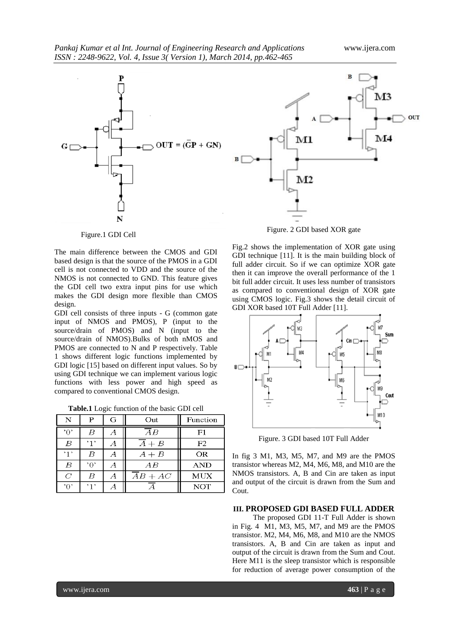



Figure.1 GDI Cell

The main difference between the CMOS and GDI based design is that the source of the PMOS in a GDI cell is not connected to VDD and the source of the NMOS is not connected to GND. This feature gives the GDI cell two extra input pins for use which makes the GDI design more flexible than CMOS design.

GDI cell consists of three inputs - G (common gate input of NMOS and PMOS), P (input to the source/drain of PMOS) and N (input to the source/drain of NMOS).Bulks of both nMOS and PMOS are connected to N and P respectively. Table 1 shows different logic functions implemented by GDI logic [15] based on different input values. So by using GDI technique we can implement various logic functions with less power and high speed as compared to conventional CMOS design.

**Table.1** Logic function of the basic GDI cell

| N              | P    | G | Out                 | Function   |  |
|----------------|------|---|---------------------|------------|--|
| 'ቦ'            | В    |   | $\overline{A}B$     | ${\bf F1}$ |  |
| B              | , 1, |   | $A + B$             | F2         |  |
| '1'            | В    |   | $A+B$               | OR         |  |
| B              | 'ቦ'  | Α | $\displaystyle AB$  | <b>AND</b> |  |
| $\overline{C}$ | B    | А | $\overline{A}B+A C$ | <b>MUX</b> |  |
| ነበነ            | 111  |   |                     | <b>NOT</b> |  |



Fig.2 shows the implementation of XOR gate using GDI technique [11]. It is the main building block of full adder circuit. So if we can optimize XOR gate then it can improve the overall performance of the 1 bit full adder circuit. It uses less number of transistors as compared to conventional design of XOR gate using CMOS logic. Fig.3 shows the detail circuit of GDI XOR based 10T Full Adder [11].



Figure. 3 GDI based 10T Full Adder

In fig 3 M1, M3, M5, M7, and M9 are the PMOS transistor whereas M2, M4, M6, M8, and M10 are the NMOS transistors. A, B and Cin are taken as input and output of the circuit is drawn from the Sum and Cout.

### **III. PROPOSED GDI BASED FULL ADDER**

 The proposed GDI 11-T Full Adder is shown in Fig. 4 M1, M3, M5, M7, and M9 are the PMOS transistor. M2, M4, M6, M8, and M10 are the NMOS transistors. A, B and Cin are taken as input and output of the circuit is drawn from the Sum and Cout. Here M11 is the sleep transistor which is responsible for reduction of average power consumption of the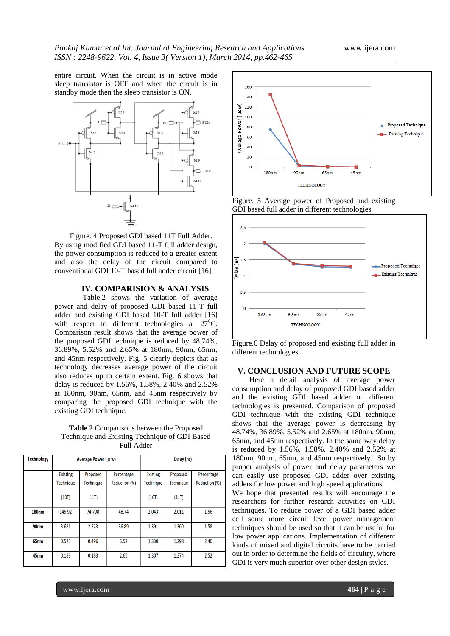entire circuit. When the circuit is in active mode sleep transistor is OFF and when the circuit is in standby mode then the sleep transistor is ON.



Figure. 4 Proposed GDI based 11T Full Adder. By using modified GDI based 11-T full adder design, the power consumption is reduced to a greater extent and also the delay of the circuit compared to conventional GDI 10-T based full adder circuit [16].

# **IV. COMPARISION & ANALYSIS**

 Table.2 shows the variation of average power and delay of proposed GDI based 11-T full adder and existing GDI based 10-T full adder [16] with respect to different technologies at  $27^{\circ}$ C. Comparison result shows that the average power of the proposed GDI technique is reduced by 48.74%, 36.89%, 5.52% and 2.65% at 180nm, 90nm, 65nm, and 45nm respectively. Fig. 5 clearly depicts that as technology decreases average power of the circuit also reduces up to certain extent. Fig. 6 shows that delay is reduced by 1.56%, 1.58%, 2.40% and 2.52% at 180nm, 90nm, 65nm, and 45nm respectively by comparing the proposed GDI technique with the existing GDI technique.

**Table 2** Comparisons between the Proposed Technique and Existing Technique of GDI Based Full Adder

| <b>Technology</b> | Average Power ( $\mu$ w) |                  |                      | Delay (ns)       |                  |               |
|-------------------|--------------------------|------------------|----------------------|------------------|------------------|---------------|
|                   | <b>Existing</b>          | Proposed         | Percentage           | <b>Existing</b>  | Proposed         | Percentage    |
|                   | <b>Technique</b>         | <b>Technique</b> | <b>Reduction (%)</b> | <b>Technique</b> | <b>Technique</b> | Reduction (%) |
|                   | (10T)                    | (11T)            |                      | (10T)            | (11T)            |               |
| <b>180nm</b>      | 145.92                   | 74.798           | 48.74                | 2.043            | 2.011            | 1.56          |
| 90 <sub>nm</sub>  | 3.681                    | 2.323            | 36.89                | 1.391            | 1.369            | 1.58          |
| 65 <sub>nm</sub>  | 0.525                    | 0.496            | 5.52                 | 1.330            | 1.298            | 2.40          |
| 45 <sub>nm</sub>  | 0.188                    | 0.183            | 2.65                 | 1.307            | 1.274            | 2.52          |



Figure. 5 Average power of Proposed and existing GDI based full adder in different technologies



Figure.6 Delay of proposed and existing full adder in different technologies

# **V. CONCLUSION AND FUTURE SCOPE**

 Here a detail analysis of average power consumption and delay of proposed GDI based adder and the existing GDI based adder on different technologies is presented. Comparison of proposed GDI technique with the existing GDI technique shows that the average power is decreasing by 48.74%, 36.89%, 5.52% and 2.65% at 180nm, 90nm, 65nm, and 45nm respectively. In the same way delay is reduced by 1.56%, 1.58%, 2.40% and 2.52% at 180nm, 90nm, 65nm, and 45nm respectively. So by proper analysis of power and delay parameters we can easily use proposed GDI adder over existing adders for low power and high speed applications.

We hope that presented results will encourage the researchers for further research activities on GDI techniques. To reduce power of a GDI based adder cell some more circuit level power management techniques should be used so that it can be useful for low power applications. Implementation of different kinds of mixed and digital circuits have to be carried out in order to determine the fields of circuitry, where GDI is very much superior over other design styles.